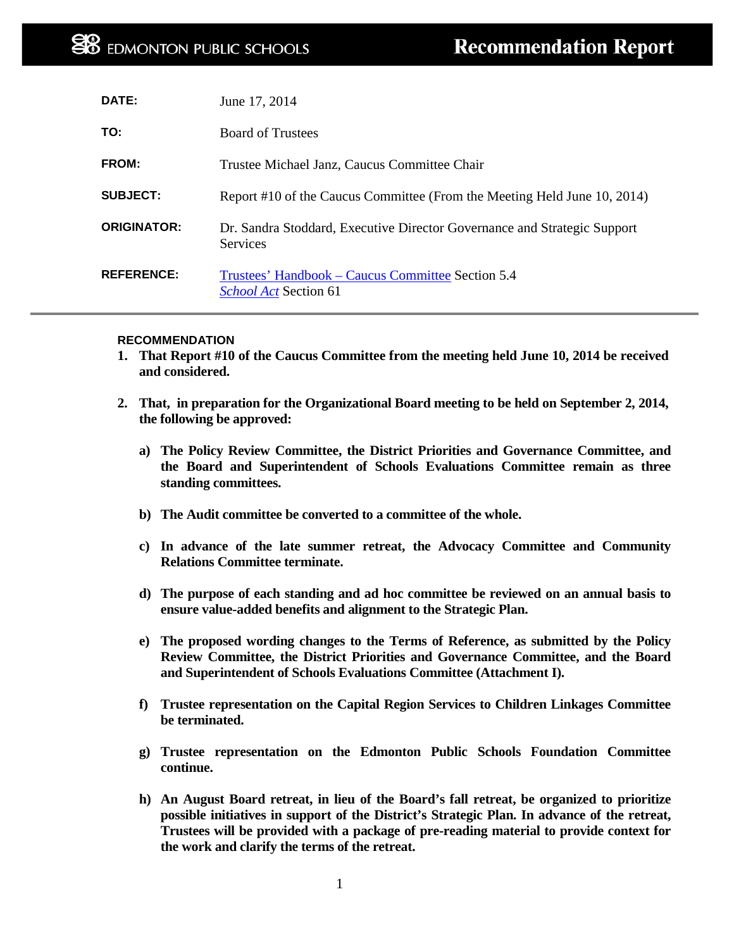| DATE:              | June 17, 2014                                                                               |
|--------------------|---------------------------------------------------------------------------------------------|
| TO:                | <b>Board of Trustees</b>                                                                    |
| FROM:              | Trustee Michael Janz, Caucus Committee Chair                                                |
| <b>SUBJECT:</b>    | Report #10 of the Caucus Committee (From the Meeting Held June 10, 2014)                    |
| <b>ORIGINATOR:</b> | Dr. Sandra Stoddard, Executive Director Governance and Strategic Support<br><b>Services</b> |
| <b>REFERENCE:</b>  | Trustees' Handbook – Caucus Committee Section 5.4<br><b>School Act</b> Section 61           |

#### **RECOMMENDATION**

- **1. That Report #10 of the Caucus Committee from the meeting held June 10, 2014 be received and considered.**
- **2. That, in preparation for the Organizational Board meeting to be held on September 2, 2014, the following be approved:**
	- **a) The Policy Review Committee, the District Priorities and Governance Committee, and the Board and Superintendent of Schools Evaluations Committee remain as three standing committees.**
	- **b) The Audit committee be converted to a committee of the whole.**
	- **c) In advance of the late summer retreat, the Advocacy Committee and Community Relations Committee terminate.**
	- **d) The purpose of each standing and ad hoc committee be reviewed on an annual basis to ensure value-added benefits and alignment to the Strategic Plan.**
	- **e) The proposed wording changes to the Terms of Reference, as submitted by the Policy Review Committee, the District Priorities and Governance Committee, and the Board and Superintendent of Schools Evaluations Committee (Attachment I).**
	- **f) Trustee representation on the Capital Region Services to Children Linkages Committee be terminated.**
	- **g) Trustee representation on the Edmonton Public Schools Foundation Committee continue.**
	- **h) An August Board retreat, in lieu of the Board's fall retreat, be organized to prioritize possible initiatives in support of the District's Strategic Plan. In advance of the retreat, Trustees will be provided with a package of pre-reading material to provide context for the work and clarify the terms of the retreat.**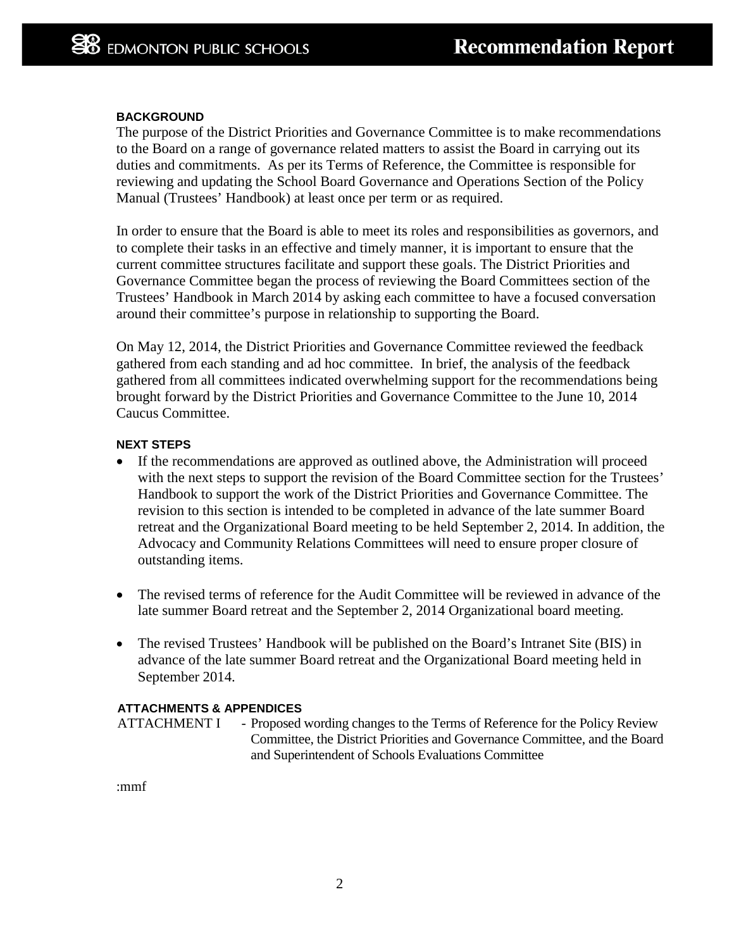### **BACKGROUND**

The purpose of the District Priorities and Governance Committee is to make recommendations to the Board on a range of governance related matters to assist the Board in carrying out its duties and commitments. As per its Terms of Reference, the Committee is responsible for reviewing and updating the School Board Governance and Operations Section of the Policy Manual (Trustees' Handbook) at least once per term or as required.

In order to ensure that the Board is able to meet its roles and responsibilities as governors, and to complete their tasks in an effective and timely manner, it is important to ensure that the current committee structures facilitate and support these goals. The District Priorities and Governance Committee began the process of reviewing the Board Committees section of the Trustees' Handbook in March 2014 by asking each committee to have a focused conversation around their committee's purpose in relationship to supporting the Board.

On May 12, 2014, the District Priorities and Governance Committee reviewed the feedback gathered from each standing and ad hoc committee. In brief, the analysis of the feedback gathered from all committees indicated overwhelming support for the recommendations being brought forward by the District Priorities and Governance Committee to the June 10, 2014 Caucus Committee.

### **NEXT STEPS**

- If the recommendations are approved as outlined above, the Administration will proceed with the next steps to support the revision of the Board Committee section for the Trustees' Handbook to support the work of the District Priorities and Governance Committee. The revision to this section is intended to be completed in advance of the late summer Board retreat and the Organizational Board meeting to be held September 2, 2014. In addition, the Advocacy and Community Relations Committees will need to ensure proper closure of outstanding items.
- The revised terms of reference for the Audit Committee will be reviewed in advance of the late summer Board retreat and the September 2, 2014 Organizational board meeting.
- The revised Trustees' Handbook will be published on the Board's Intranet Site (BIS) in advance of the late summer Board retreat and the Organizational Board meeting held in September 2014.

## **ATTACHMENTS & APPENDICES**

ATTACHMENT I - Proposed wording changes to the Terms of Reference for the Policy Review Committee, the District Priorities and Governance Committee, and the Board and Superintendent of Schools Evaluations Committee

:mmf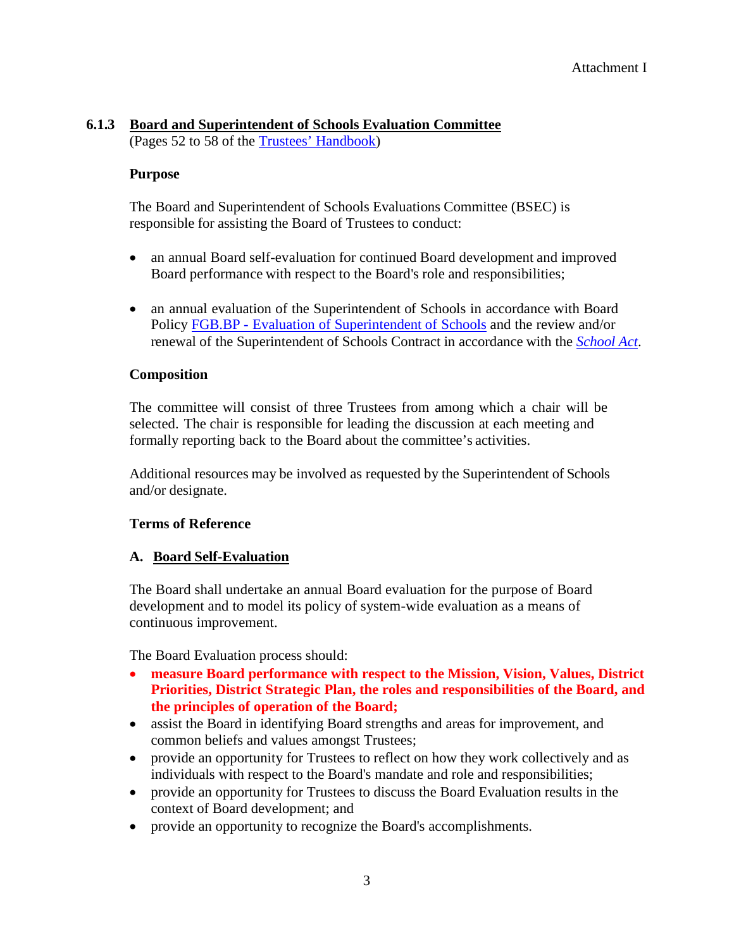## **6.1.3 Board and Superintendent of Schools Evaluation Committee**

(Pages 52 to 58 of the [Trustees' Handbook\)](http://www.epsb.ca/media/epsb/ourdistrict/policies/trusteeshandbook2013-2014.pdf)

## **Purpose**

The Board and Superintendent of Schools Evaluations Committee (BSEC) is responsible for assisting the Board of Trustees to conduct:

- an annual Board self-evaluation for continued Board development and improved Board performance with respect to the Board's role and responsibilities;
- an annual evaluation of the Superintendent of Schools in accordance with Board Policy FGB.BP - Evaluation of [Superintendent](http://epsb.ca/ourdistrict/policy/f/fgb-bp/) of Schools and the review and/or renewal of the Superintendent of Schools Contract in accordance with the *[School Act](http://www.qp.alberta.ca/1266.cfm?page=s03.cfm&leg_type=Acts&isbncln=9780779775149&display=html)*.

## **Composition**

The committee will consist of three Trustees from among which a chair will be selected. The chair is responsible for leading the discussion at each meeting and formally reporting back to the Board about the committee's activities.

Additional resources may be involved as requested by the Superintendent of Schools and/or designate.

## **Terms of Reference**

## **A. Board Self-Evaluation**

The Board shall undertake an annual Board evaluation for the purpose of Board development and to model its policy of system-wide evaluation as a means of continuous improvement.

The Board Evaluation process should:

- **measure Board performance with respect to the Mission, Vision, Values, District Priorities, District Strategic Plan, the roles and responsibilities of the Board, and the principles of operation of the Board;**
- assist the Board in identifying Board strengths and areas for improvement, and common beliefs and values amongst Trustees;
- provide an opportunity for Trustees to reflect on how they work collectively and as individuals with respect to the Board's mandate and role and responsibilities;
- provide an opportunity for Trustees to discuss the Board Evaluation results in the context of Board development; and
- provide an opportunity to recognize the Board's accomplishments.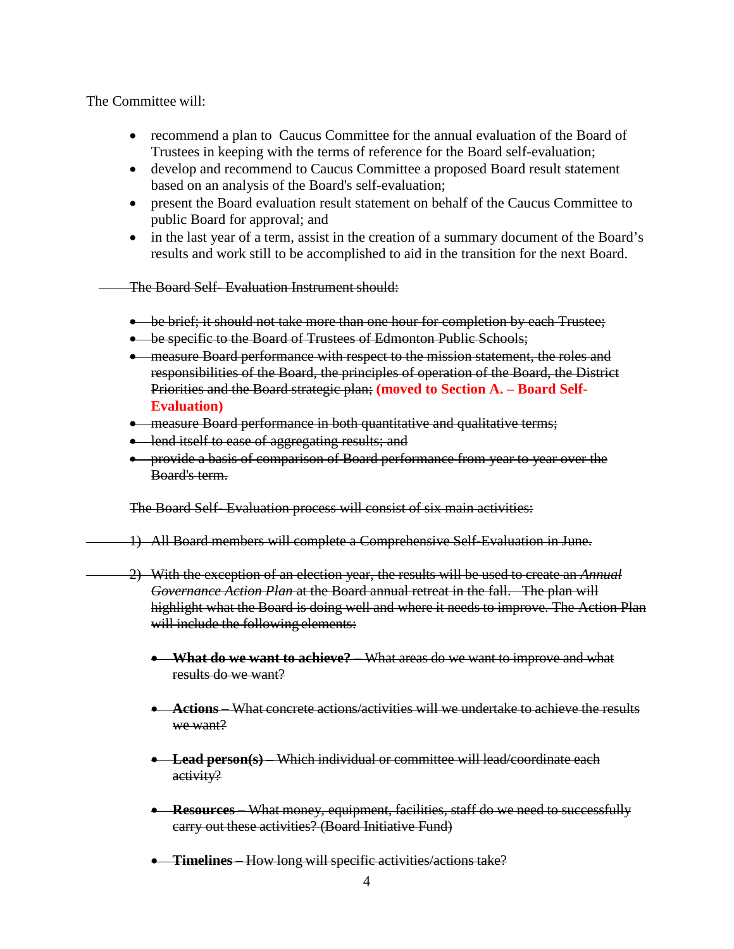The Committee will:

- recommend a plan to Caucus Committee for the annual evaluation of the Board of Trustees in keeping with the terms of reference for the Board self-evaluation;
- develop and recommend to Caucus Committee a proposed Board result statement based on an analysis of the Board's self-evaluation;
- present the Board evaluation result statement on behalf of the Caucus Committee to public Board for approval; and
- in the last year of a term, assist in the creation of a summary document of the Board's results and work still to be accomplished to aid in the transition for the next Board.

The Board Self- Evaluation Instrument should:

- be brief; it should not take more than one hour for completion by each Trustee;
- be specific to the Board of Trustees of Edmonton Public Schools;
- measure Board performance with respect to the mission statement, the roles and responsibilities of the Board, the principles of operation of the Board, the District Priorities and the Board strategic plan; **(moved to Section A. – Board Self-Evaluation)**
- measure Board performance in both quantitative and qualitative terms;
- lend itself to ease of aggregating results; and
- provide a basis of comparison of Board performance from year to year over the Board's term.

The Board Self- Evaluation process will consist of six main activities:

- 1) All Board members will complete a Comprehensive Self-Evaluation in June.
- 2) With the exception of an election year, the results will be used to create an *Annual Governance Action Plan* at the Board annual retreat in the fall. The plan will highlight what the Board is doing well and where it needs to improve. The Action Plan will include the following elements:
	- **What do we want to achieve?** What areas do we want to improve and what results do we want?
	- **Actions** What concrete actions/activities will we undertake to achieve the results we want?
	- **Lead person(s)** Which individual or committee will lead/coordinate each activity?
	- **Resources** What money, equipment, facilities, staff do we need to successfully carry out these activities? (Board Initiative Fund)
	- **Timelines** How long will specific activities/actions take?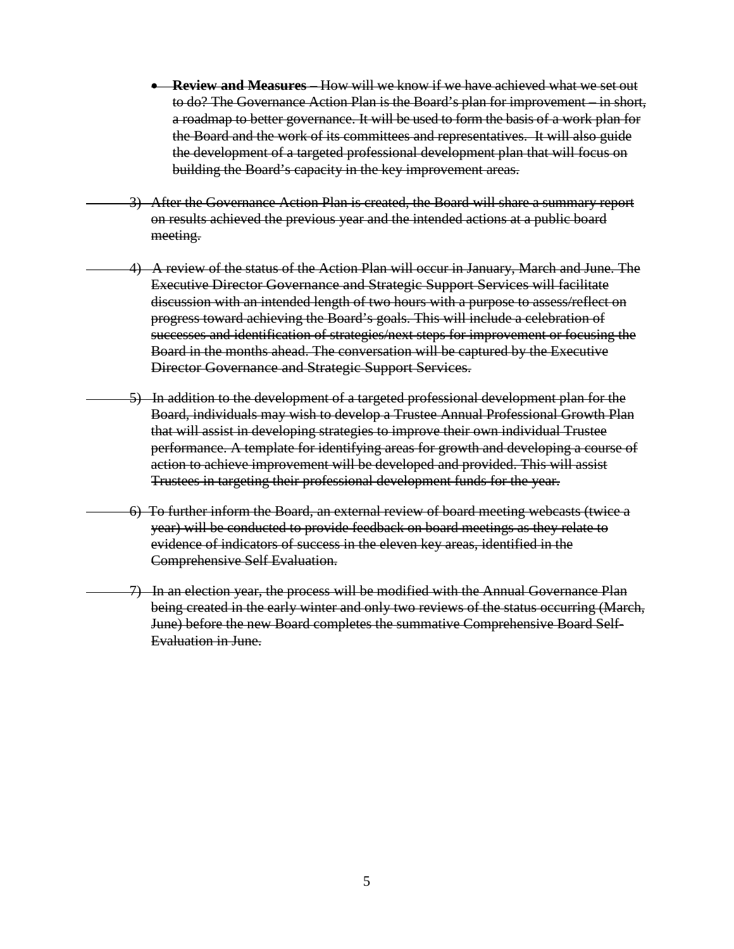- **Review and Measures** How will we know if we have achieved what we set out to do? The Governance Action Plan is the Board's plan for improvement – in short, a roadmap to better governance. It will be used to form the basis of a work plan for the Board and the work of its committees and representatives. It will also guide the development of a targeted professional development plan that will focus on building the Board's capacity in the key improvement areas.
- 3) After the Governance Action Plan is created, the Board will share a summary report on results achieved the previous year and the intended actions at a public board meeting.
- 4) A review of the status of the Action Plan will occur in January, March and June. The Executive Director Governance and Strategic Support Services will facilitate discussion with an intended length of two hours with a purpose to assess/reflect on progress toward achieving the Board's goals. This will include a celebration of successes and identification of strategies/next steps for improvement or focusing the Board in the months ahead. The conversation will be captured by the Executive Director Governance and Strategic Support Services.
	- 5) In addition to the development of a targeted professional development plan for the Board, individuals may wish to develop a Trustee Annual Professional Growth Plan that will assist in developing strategies to improve their own individual Trustee performance. A template for identifying areas for growth and developing a course of action to achieve improvement will be developed and provided. This will assist Trustees in targeting their professional development funds for the year.
- 6) To further inform the Board, an external review of board meeting webcasts (twice a year) will be conducted to provide feedback on board meetings as they relate to evidence of indicators of success in the eleven key areas, identified in the Comprehensive Self Evaluation.
	- 7) In an election year, the process will be modified with the Annual Governance Plan being created in the early winter and only two reviews of the status occurring (March, June) before the new Board completes the summative Comprehensive Board Self-Evaluation in June.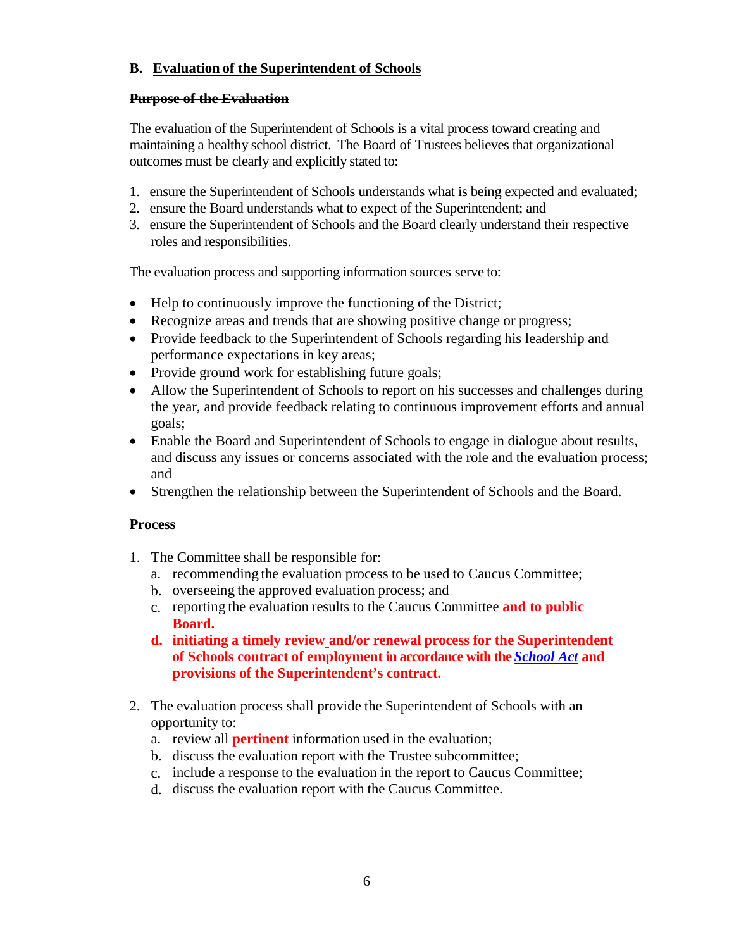# **B. Evaluation of the Superintendent of Schools**

## **Purpose of the Evaluation**

The evaluation of the Superintendent of Schools is a vital process toward creating and maintaining a healthy school district. The Board of Trustees believes that organizational outcomes must be clearly and explicitly stated to:

- 1. ensure the Superintendent of Schools understands what is being expected and evaluated;
- 2. ensure the Board understands what to expect of the Superintendent; and
- 3. ensure the Superintendent of Schools and the Board clearly understand their respective roles and responsibilities.

The evaluation process and supporting information sources serve to:

- Help to continuously improve the functioning of the District;
- Recognize areas and trends that are showing positive change or progress;
- Provide feedback to the Superintendent of Schools regarding his leadership and performance expectations in key areas;
- Provide ground work for establishing future goals;
- Allow the Superintendent of Schools to report on his successes and challenges during the year, and provide feedback relating to continuous improvement efforts and annual goals;
- Enable the Board and Superintendent of Schools to engage in dialogue about results, and discuss any issues or concerns associated with the role and the evaluation process; and
- Strengthen the relationship between the Superintendent of Schools and the Board.

# **Process**

- 1. The Committee shall be responsible for:
	- a. recommending the evaluation process to be used to Caucus Committee;
	- b. overseeing the approved evaluation process; and
	- c. reporting the evaluation results to the Caucus Committee **and to public Board.**
	- **d. initiating a timely review and/or renewal process for the Superintendent of Schools contract of employment in accordance with the** *[School Act](http://www.qp.alberta.ca/1266.cfm?page=s03.cfm&leg_type=Acts&isbncln=9780779775149&display=html)* **and provisions of the Superintendent's contract.**
- 2. The evaluation process shall provide the Superintendent of Schools with an opportunity to:
	- a. review all **pertinent** information used in the evaluation;
	- b. discuss the evaluation report with the Trustee subcommittee;
	- c. include a response to the evaluation in the report to Caucus Committee;
	- d. discuss the evaluation report with the Caucus Committee.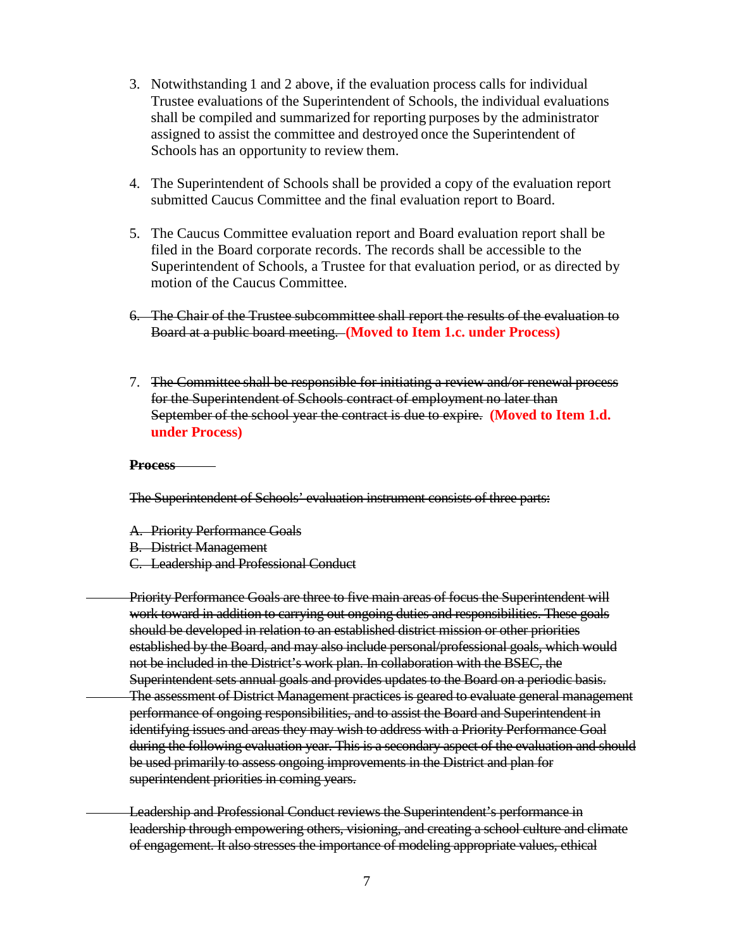- 3. Notwithstanding 1 and 2 above, if the evaluation process calls for individual Trustee evaluations of the Superintendent of Schools, the individual evaluations shall be compiled and summarized for reporting purposes by the administrator assigned to assist the committee and destroyed once the Superintendent of Schools has an opportunity to review them.
- 4. The Superintendent of Schools shall be provided a copy of the evaluation report submitted Caucus Committee and the final evaluation report to Board.
- 5. The Caucus Committee evaluation report and Board evaluation report shall be filed in the Board corporate records. The records shall be accessible to the Superintendent of Schools, a Trustee for that evaluation period, or as directed by motion of the Caucus Committee.
- 6. The Chair of the Trustee subcommittee shall report the results of the evaluation to Board at a public board meeting. **(Moved to Item 1.c. under Process)**
- 7. The Committee shall be responsible for initiating a review and/or renewal process for the Superintendent of Schools contract of employment no later than September of the school year the contract is due to expire. **(Moved to Item 1.d. under Process)**

#### **Process**

The Superintendent of Schools' evaluation instrument consists of three parts:

- A. Priority Performance Goals
- B. District Management
- C. Leadership and Professional Conduct

Priority Performance Goals are three to five main areas of focus the Superintendent will work toward in addition to carrying out ongoing duties and responsibilities. These goals should be developed in relation to an established district mission or other priorities established by the Board, and may also include personal/professional goals, which would not be included in the District's work plan. In collaboration with the BSEC, the Superintendent sets annual goals and provides updates to the Board on a periodic basis. The assessment of District Management practices is geared to evaluate general management performance of ongoing responsibilities, and to assist the Board and Superintendent in identifying issues and areas they may wish to address with a Priority Performance Goal during the following evaluation year. This is a secondary aspect of the evaluation and should be used primarily to assess ongoing improvements in the District and plan for superintendent priorities in coming years.

Leadership and Professional Conduct reviews the Superintendent's performance in leadership through empowering others, visioning, and creating a school culture and climate of engagement. It also stresses the importance of modeling appropriate values, ethical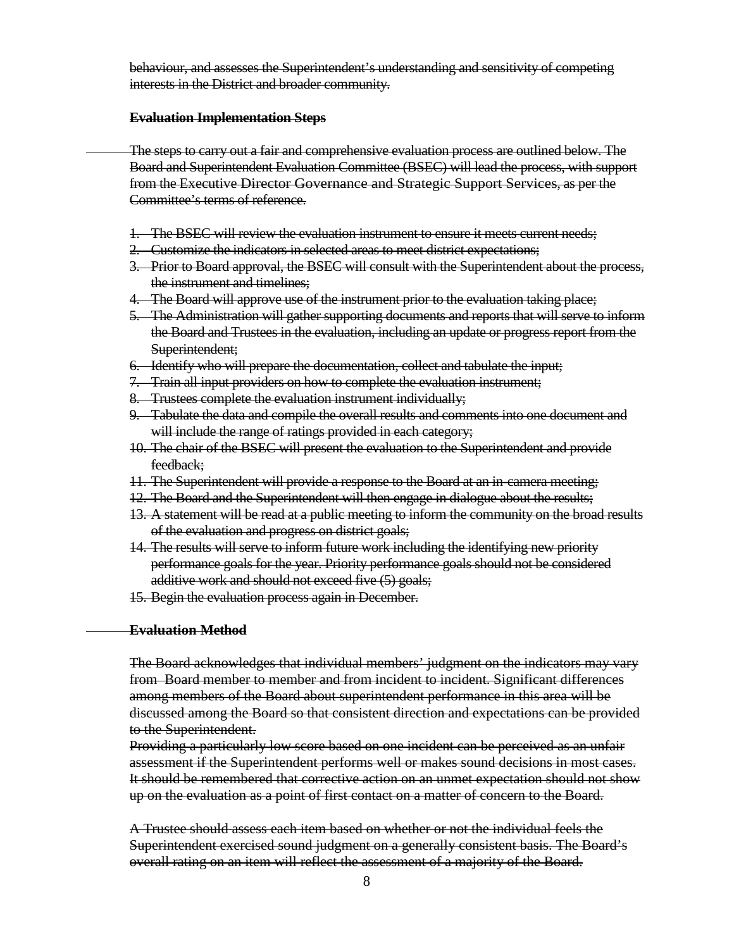behaviour, and assesses the Superintendent's understanding and sensitivity of competing interests in the District and broader community.

#### **Evaluation Implementation Steps**

The steps to carry out a fair and comprehensive evaluation process are outlined below. The Board and Superintendent Evaluation Committee (BSEC) will lead the process, with support from the Executive Director Governance and Strategic Support Services, as per the Committee's terms of reference.

- 1. The BSEC will review the evaluation instrument to ensure it meets current needs;
- 2. Customize the indicators in selected areas to meet district expectations;
- 3. Prior to Board approval, the BSEC will consult with the Superintendent about the process, the instrument and timelines;
- 4. The Board will approve use of the instrument prior to the evaluation taking place;
- 5. The Administration will gather supporting documents and reports that will serve to inform the Board and Trustees in the evaluation, including an update or progress report from the Superintendent;
- 6. Identify who will prepare the documentation, collect and tabulate the input;
- 7. Train all input providers on how to complete the evaluation instrument;
- 8. Trustees complete the evaluation instrument individually;
- 9. Tabulate the data and compile the overall results and comments into one document and will include the range of ratings provided in each category;
- 10. The chair of the BSEC will present the evaluation to the Superintendent and provide feedback;
- 11. The Superintendent will provide a response to the Board at an in-camera meeting;
- 12. The Board and the Superintendent will then engage in dialogue about the results;
- 13. A statement will be read at a public meeting to inform the community on the broad results of the evaluation and progress on district goals;
- 14. The results will serve to inform future work including the identifying new priority performance goals for the year. Priority performance goals should not be considered additive work and should not exceed five (5) goals;
- 15. Begin the evaluation process again in December.

#### **Evaluation Method**

The Board acknowledges that individual members' judgment on the indicators may vary from Board member to member and from incident to incident. Significant differences among members of the Board about superintendent performance in this area will be discussed among the Board so that consistent direction and expectations can be provided to the Superintendent.

Providing a particularly low score based on one incident can be perceived as an unfair assessment if the Superintendent performs well or makes sound decisions in most cases. It should be remembered that corrective action on an unmet expectation should not show up on the evaluation as a point of first contact on a matter of concern to the Board.

A Trustee should assess each item based on whether or not the individual feels the Superintendent exercised sound judgment on a generally consistent basis. The Board's overall rating on an item will reflect the assessment of a majority of the Board.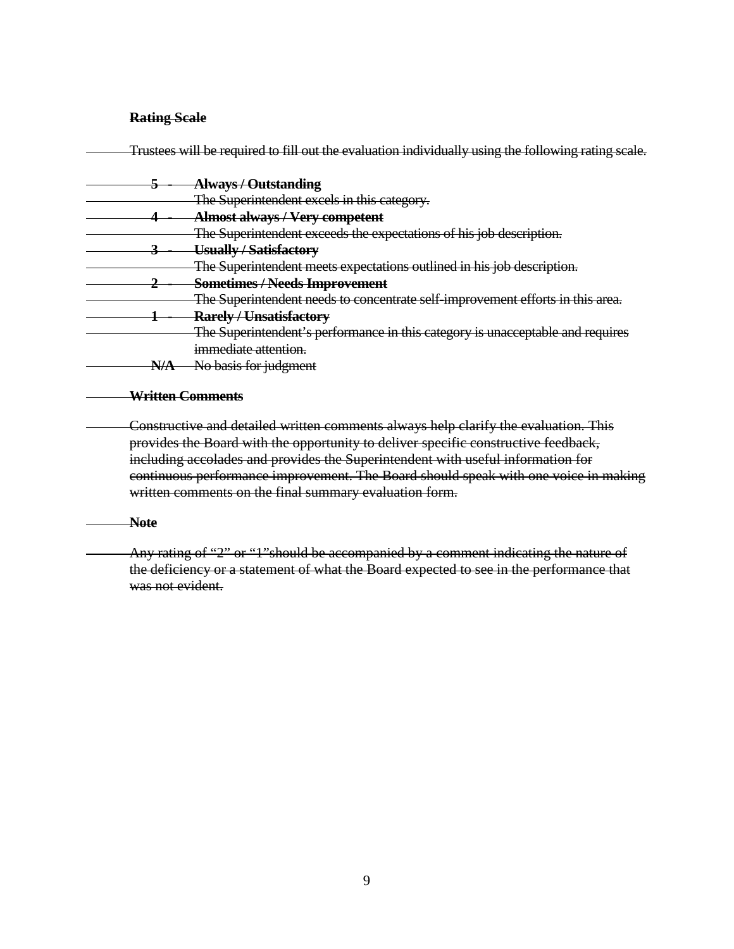## **Rating Scale**

|                           | Trustees will be required to fill out the evaluation individually using the following rating scale. |
|---------------------------|-----------------------------------------------------------------------------------------------------|
|                           | <b>Always / Outstanding</b>                                                                         |
|                           | The Superintendent excels in this category.                                                         |
|                           | <b>Almost always / Very competent</b>                                                               |
|                           | The Superintendent exceeds the expectations of his job description.                                 |
|                           | Usually / Satisfactory                                                                              |
|                           | The Superintendent meets expectations outlined in his job description.                              |
|                           | <b>Sometimes/Needs Improvement</b>                                                                  |
|                           | The Superintendent needs to concentrate self-improvement efforts in this area.                      |
|                           | <b>Rarely / Unsatisfactory</b>                                                                      |
|                           | The Superintendent's performance in this category is unacceptable and requires                      |
|                           | immediate attention.                                                                                |
| NIA<br><del>1777.17</del> | No basis for judgment                                                                               |
|                           |                                                                                                     |

### **Written Comments**

Constructive and detailed written comments always help clarify the evaluation. This provides the Board with the opportunity to deliver specific constructive feedback, including accolades and provides the Superintendent with useful information for continuous performance improvement. The Board should speak with one voice in making written comments on the final summary evaluation form.

#### **Note**

Any rating of "2" or "1"should be accompanied by a comment indicating the nature of the deficiency or a statement of what the Board expected to see in the performance that was not evident.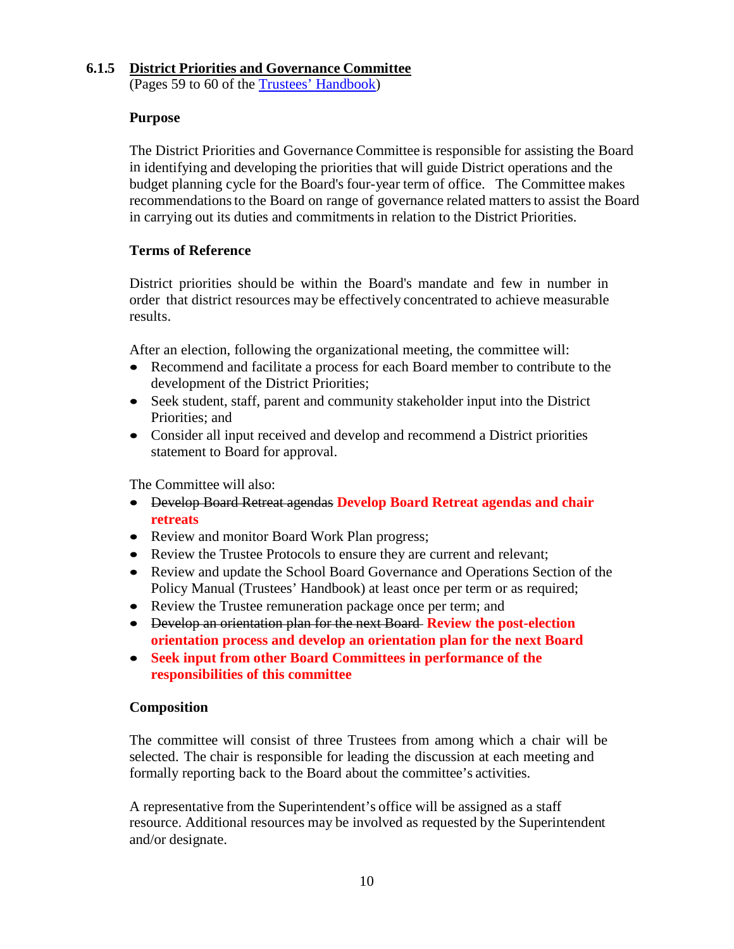## **6.1.5 District Priorities and Governance Committee**

(Pages 59 to 60 of the [Trustees' Handbook\)](http://www.epsb.ca/media/epsb/ourdistrict/policies/trusteeshandbook2013-2014.pdf)

## **Purpose**

The District Priorities and Governance Committee is responsible for assisting the Board in identifying and developing the priorities that will guide District operations and the budget planning cycle for the Board's four-year term of office. The Committee makes recommendationsto the Board on range of governance related mattersto assist the Board in carrying out its duties and commitments in relation to the District Priorities.

## **Terms of Reference**

District priorities should be within the Board's mandate and few in number in order that district resources may be effectively concentrated to achieve measurable results.

After an election, following the organizational meeting, the committee will:

- Recommend and facilitate a process for each Board member to contribute to the development of the District Priorities;
- Seek student, staff, parent and community stakeholder input into the District Priorities; and
- Consider all input received and develop and recommend a District priorities statement to Board for approval.

The Committee will also:

- Develop Board Retreat agendas **Develop Board Retreat agendas and chair retreats**
- Review and monitor Board Work Plan progress;
- Review the Trustee Protocols to ensure they are current and relevant;
- Review and update the School Board Governance and Operations Section of the Policy Manual (Trustees' Handbook) at least once per term or as required;
- Review the Trustee remuneration package once per term; and
- Develop an orientation plan for the next Board **Review the post-election orientation process and develop an orientation plan for the next Board**
- **Seek input from other Board Committees in performance of the responsibilities of this committee**

## **Composition**

The committee will consist of three Trustees from among which a chair will be selected. The chair is responsible for leading the discussion at each meeting and formally reporting back to the Board about the committee's activities.

A representative from the Superintendent's office will be assigned as a staff resource. Additional resources may be involved as requested by the Superintendent and/or designate.